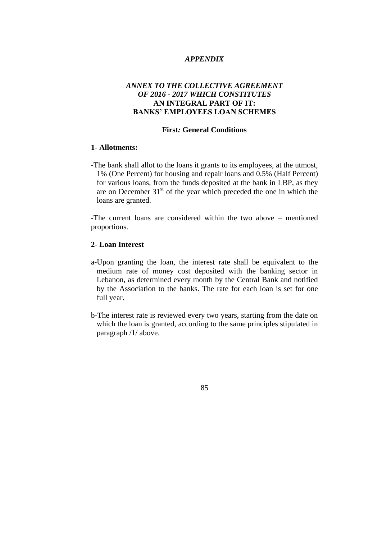## *APPENDIX*

# *ANNEX TO THE COLLECTIVE AGREEMENT OF 2016 - 2017 WHICH CONSTITUTES* **AN INTEGRAL PART OF IT: BANKS' EMPLOYEES LOAN SCHEMES**

## **First***:* **General Conditions**

## **1- Allotments:**

-The bank shall allot to the loans it grants to its employees, at the utmost, 1% (One Percent) for housing and repair loans and 0.5% (Half Percent) for various loans, from the funds deposited at the bank in LBP, as they are on December  $31<sup>st</sup>$  of the year which preceded the one in which the loans are granted.

-The current loans are considered within the two above – mentioned proportions.

## **2- Loan Interest**

- a-Upon granting the loan, the interest rate shall be equivalent to the medium rate of money cost deposited with the banking sector in Lebanon, as determined every month by the Central Bank and notified by the Association to the banks. The rate for each loan is set for one full year.
- b-The interest rate is reviewed every two years, starting from the date on which the loan is granted, according to the same principles stipulated in paragraph /1/ above.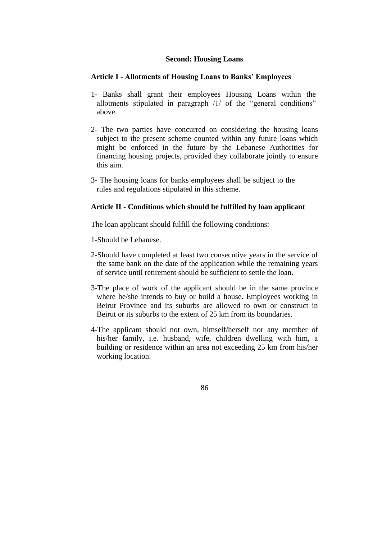## **Second: Housing Loans**

## **Article I - Allotments of Housing Loans to Banks' Employees**

- 1- Banks shall grant their employees Housing Loans within the allotments stipulated in paragraph /1/ of the "general conditions" above.
- 2- The two parties have concurred on considering the housing loans subject to the present scheme counted within any future loans which might be enforced in the future by the Lebanese Authorities for financing housing projects, provided they collaborate jointly to ensure this aim.
- 3- The housing loans for banks employees shall be subject to the rules and regulations stipulated in this scheme.

## **Article II - Conditions which should be fulfilled by loan applicant**

The loan applicant should fulfill the following conditions:

- 1-Should be Lebanese.
- 2-Should have completed at least two consecutive years in the service of the same bank on the date of the application while the remaining years of service until retirement should be sufficient to settle the loan.
- 3-The place of work of the applicant should be in the same province where he/she intends to buy or build a house. Employees working in Beirut Province and its suburbs are allowed to own or construct in Beirut or its suburbs to the extent of 25 km from its boundaries.
- 4-The applicant should not own, himself/herself nor any member of his/her family, i.e. husband, wife, children dwelling with him, a building or residence within an area not exceeding 25 km from his/her working location.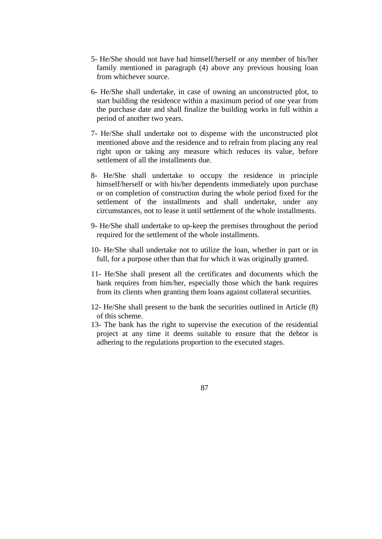- 5- He/She should not have had himself/herself or any member of his/her family mentioned in paragraph (4) above any previous housing loan from whichever source.
- 6- He/She shall undertake, in case of owning an unconstructed plot, to start building the residence within a maximum period of one year from the purchase date and shall finalize the building works in full within a period of another two years.
- 7- He/She shall undertake not to dispense with the unconstructed plot mentioned above and the residence and to refrain from placing any real right upon or taking any measure which reduces its value, before settlement of all the installments due.
- 8- He/She shall undertake to occupy the residence in principle himself/herself or with his/her dependents immediately upon purchase or on completion of construction during the whole period fixed for the settlement of the installments and shall undertake, under any circumstances, not to lease it until settlement of the whole installments.
- 9- He/She shall undertake to up-keep the premises throughout the period required for the settlement of the whole installments.
- 10- He/She shall undertake not to utilize the loan, whether in part or in full, for a purpose other than that for which it was originally granted.
- 11- He/She shall present all the certificates and documents which the bank requires from him/her, especially those which the bank requires from its clients when granting them loans against collateral securities.
- 12- He/She shall present to the bank the securities outlined in Article (8) of this scheme.
- 13- The bank has the right to supervise the execution of the residential project at any time it deems suitable to ensure that the debtor is adhering to the regulations proportion to the executed stages.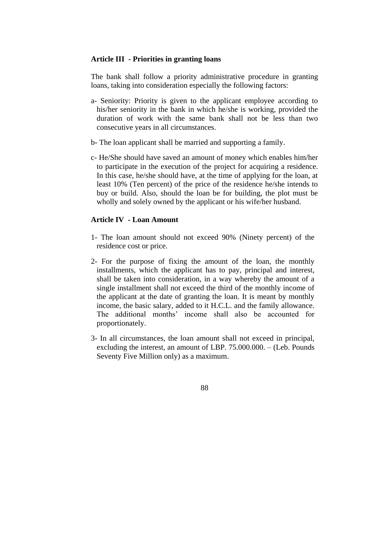#### **Article III - Priorities in granting loans**

The bank shall follow a priority administrative procedure in granting loans, taking into consideration especially the following factors:

- a- Seniority: Priority is given to the applicant employee according to his/her seniority in the bank in which he/she is working, provided the duration of work with the same bank shall not be less than two consecutive years in all circumstances.
- b- The loan applicant shall be married and supporting a family.
- c- He/She should have saved an amount of money which enables him/her to participate in the execution of the project for acquiring a residence. In this case, he/she should have, at the time of applying for the loan, at least 10% (Ten percent) of the price of the residence he/she intends to buy or build. Also, should the loan be for building, the plot must be wholly and solely owned by the applicant or his wife/her husband.

#### **Article IV - Loan Amount**

- 1- The loan amount should not exceed 90% (Ninety percent) of the residence cost or price.
- 2- For the purpose of fixing the amount of the loan, the monthly installments, which the applicant has to pay, principal and interest, shall be taken into consideration, in a way whereby the amount of a single installment shall not exceed the third of the monthly income of the applicant at the date of granting the loan. It is meant by monthly income, the basic salary, added to it H.C.L. and the family allowance. The additional months' income shall also be accounted for proportionately.
- 3- In all circumstances, the loan amount shall not exceed in principal, excluding the interest, an amount of LBP. 75.000.000. – (Leb. Pounds Seventy Five Million only) as a maximum.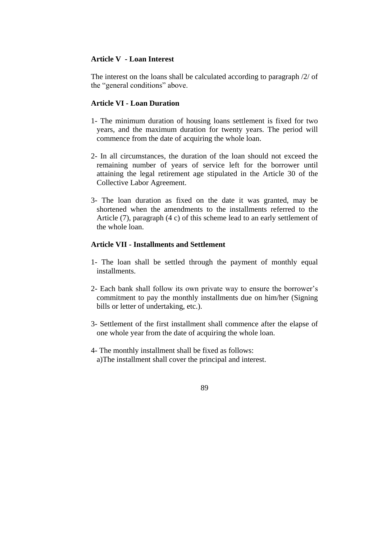### **Article V - Loan Interest**

The interest on the loans shall be calculated according to paragraph /2/ of the "general conditions" above.

## **Article VI - Loan Duration**

- 1- The minimum duration of housing loans settlement is fixed for two years, and the maximum duration for twenty years. The period will commence from the date of acquiring the whole loan.
- 2- In all circumstances, the duration of the loan should not exceed the remaining number of years of service left for the borrower until attaining the legal retirement age stipulated in the Article 30 of the Collective Labor Agreement.
- 3- The loan duration as fixed on the date it was granted, may be shortened when the amendments to the installments referred to the Article (7), paragraph (4 c) of this scheme lead to an early settlement of the whole loan.

## **Article VII - Installments and Settlement**

- 1- The loan shall be settled through the payment of monthly equal installments.
- 2- Each bank shall follow its own private way to ensure the borrower's commitment to pay the monthly installments due on him/her (Signing bills or letter of undertaking, etc.).
- 3- Settlement of the first installment shall commence after the elapse of one whole year from the date of acquiring the whole loan.
- 4- The monthly installment shall be fixed as follows: a)The installment shall cover the principal and interest.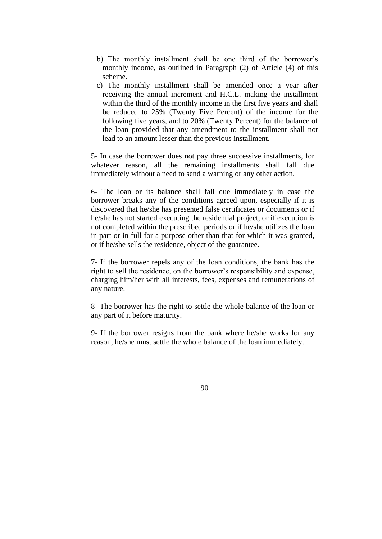- b) The monthly installment shall be one third of the borrower's monthly income, as outlined in Paragraph (2) of Article (4) of this scheme.
- c) The monthly installment shall be amended once a year after receiving the annual increment and H.C.L. making the installment within the third of the monthly income in the first five years and shall be reduced to 25% (Twenty Five Percent) of the income for the following five years, and to 20% (Twenty Percent) for the balance of the loan provided that any amendment to the installment shall not lead to an amount lesser than the previous installment.

5- In case the borrower does not pay three successive installments, for whatever reason, all the remaining installments shall fall due immediately without a need to send a warning or any other action.

6- The loan or its balance shall fall due immediately in case the borrower breaks any of the conditions agreed upon, especially if it is discovered that he/she has presented false certificates or documents or if he/she has not started executing the residential project, or if execution is not completed within the prescribed periods or if he/she utilizes the loan in part or in full for a purpose other than that for which it was granted, or if he/she sells the residence, object of the guarantee.

7- If the borrower repels any of the loan conditions, the bank has the right to sell the residence, on the borrower's responsibility and expense, charging him/her with all interests, fees, expenses and remunerations of any nature.

8- The borrower has the right to settle the whole balance of the loan or any part of it before maturity.

9- If the borrower resigns from the bank where he/she works for any reason, he/she must settle the whole balance of the loan immediately.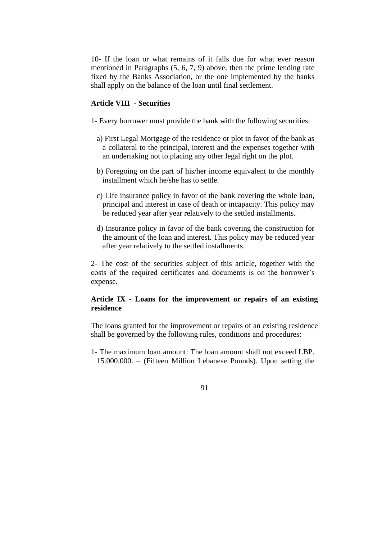10- If the loan or what remains of it falls due for what ever reason mentioned in Paragraphs (5, 6, 7, 9) above, then the prime lending rate fixed by the Banks Association, or the one implemented by the banks shall apply on the balance of the loan until final settlement.

## **Article VIII - Securities**

1- Every borrower must provide the bank with the following securities:

- a) First Legal Mortgage of the residence or plot in favor of the bank as a collateral to the principal, interest and the expenses together with an undertaking not to placing any other legal right on the plot.
- b) Foregoing on the part of his/her income equivalent to the monthly installment which he/she has to settle.
- c) Life insurance policy in favor of the bank covering the whole loan, principal and interest in case of death or incapacity. This policy may be reduced year after year relatively to the settled installments.
- d) Insurance policy in favor of the bank covering the construction for the amount of the loan and interest. This policy may be reduced year after year relatively to the settled installments.

2- The cost of the securities subject of this article, together with the costs of the required certificates and documents is on the borrower's expense.

## **Article IX - Loans for the improvement or repairs of an existing residence**

The loans granted for the improvement or repairs of an existing residence shall be governed by the following rules, conditions and procedures:

1- The maximum loan amount: The loan amount shall not exceed LBP. 15.000.000. – (Fifteen Million Lebanese Pounds). Upon setting the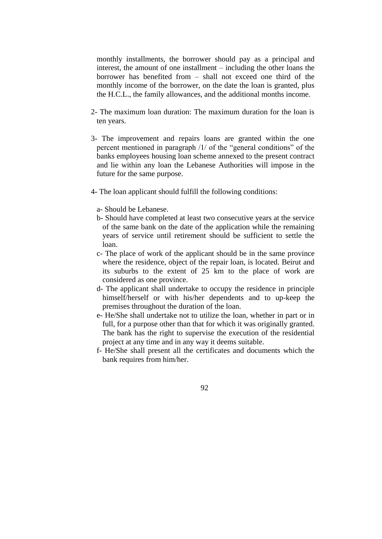monthly installments, the borrower should pay as a principal and interest, the amount of one installment – including the other loans the borrower has benefited from – shall not exceed one third of the monthly income of the borrower, on the date the loan is granted, plus the H.C.L., the family allowances, and the additional months income.

- 2- The maximum loan duration: The maximum duration for the loan is ten years.
- 3- The improvement and repairs loans are granted within the one percent mentioned in paragraph /1/ of the "general conditions" of the banks employees housing loan scheme annexed to the present contract and lie within any loan the Lebanese Authorities will impose in the future for the same purpose.
- 4- The loan applicant should fulfill the following conditions:
	- a- Should be Lebanese.
	- b- Should have completed at least two consecutive years at the service of the same bank on the date of the application while the remaining years of service until retirement should be sufficient to settle the loan.
	- c- The place of work of the applicant should be in the same province where the residence, object of the repair loan, is located. Beirut and its suburbs to the extent of 25 km to the place of work are considered as one province.
	- d- The applicant shall undertake to occupy the residence in principle himself/herself or with his/her dependents and to up-keep the premises throughout the duration of the loan.
	- e- He/She shall undertake not to utilize the loan, whether in part or in full, for a purpose other than that for which it was originally granted. The bank has the right to supervise the execution of the residential project at any time and in any way it deems suitable.
	- f- He/She shall present all the certificates and documents which the bank requires from him/her.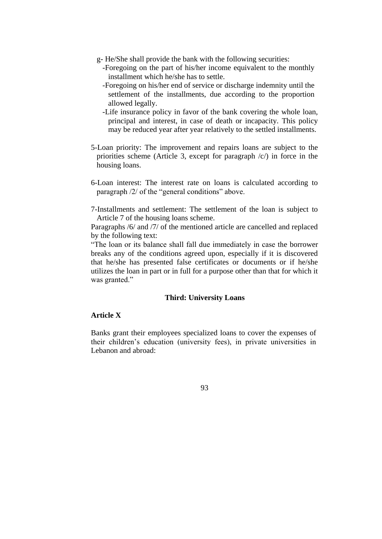- g- He/She shall provide the bank with the following securities:
	- -Foregoing on the part of his/her income equivalent to the monthly installment which he/she has to settle.
	- -Foregoing on his/her end of service or discharge indemnity until the settlement of the installments, due according to the proportion allowed legally.
	- -Life insurance policy in favor of the bank covering the whole loan, principal and interest, in case of death or incapacity. This policy may be reduced year after year relatively to the settled installments.
- 5-Loan priority: The improvement and repairs loans are subject to the priorities scheme (Article 3, except for paragraph  $\langle c \rangle$ ) in force in the housing loans.
- 6-Loan interest: The interest rate on loans is calculated according to paragraph /2/ of the "general conditions" above.
- 7-Installments and settlement: The settlement of the loan is subject to Article 7 of the housing loans scheme.

Paragraphs /6/ and /7/ of the mentioned article are cancelled and replaced by the following text:

"The loan or its balance shall fall due immediately in case the borrower breaks any of the conditions agreed upon, especially if it is discovered that he/she has presented false certificates or documents or if he/she utilizes the loan in part or in full for a purpose other than that for which it was granted."

## **Third: University Loans**

## **Article X**

Banks grant their employees specialized loans to cover the expenses of their children's education (university fees), in private universities in Lebanon and abroad: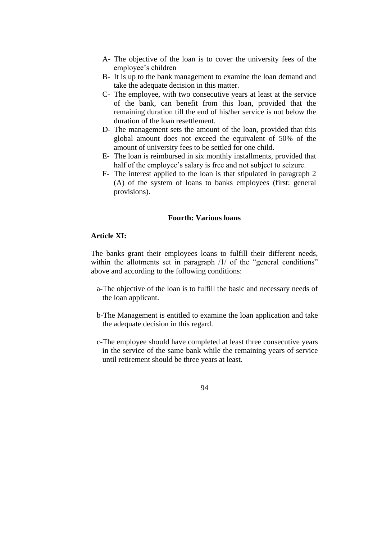- A- The objective of the loan is to cover the university fees of the employee's children
- B- It is up to the bank management to examine the loan demand and take the adequate decision in this matter.
- C- The employee, with two consecutive years at least at the service of the bank, can benefit from this loan, provided that the remaining duration till the end of his/her service is not below the duration of the loan resettlement.
- D- The management sets the amount of the loan, provided that this global amount does not exceed the equivalent of 50% of the amount of university fees to be settled for one child.
- E- The loan is reimbursed in six monthly installments, provided that half of the employee's salary is free and not subject to seizure.
- F- The interest applied to the loan is that stipulated in paragraph 2 (A) of the system of loans to banks employees (first: general provisions).

#### **Fourth: Various loans**

#### **Article XI:**

The banks grant their employees loans to fulfill their different needs, within the allotments set in paragraph /1/ of the "general conditions" above and according to the following conditions:

- a-The objective of the loan is to fulfill the basic and necessary needs of the loan applicant.
- b-The Management is entitled to examine the loan application and take the adequate decision in this regard.
- c-The employee should have completed at least three consecutive years in the service of the same bank while the remaining years of service until retirement should be three years at least.